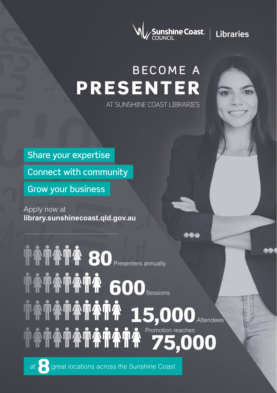

# BECOME A PRESENTER

AT SUNSHINE COAST LIBRARIES

Share your expertise

Connect with community

Grow your business

Apply now at **library.sunshinecoast.qld.gov.au**

**TATATA 80 Presenters annually TATATA 600Sessions** TATATATAT 15,000 Attendees 75,000 Promotion reaches

at 8 great locations across the Sunshine Coast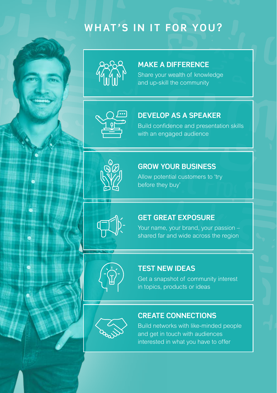## **WHAT'S IN IT FOR YOU?**



#### **MAKE A DIFFERENCE**

Share your wealth of knowledge and up-skill the community



#### **DEVELOP AS A SPEAKER**

Build confidence and presentation skills with an engaged audience



ė

### **GROW YOUR BUSINESS**

Allow potential customers to 'try before they buy'



#### **GET GREAT EXPOSURE**

Your name, your brand, your passion – shared far and wide across the region



#### **TEST NEW IDEAS**

Get a snapshot of community interest in topics, products or ideas



#### **CREATE CONNECTIONS**

Build networks with like-minded people and get in touch with audiences interested in what you have to offer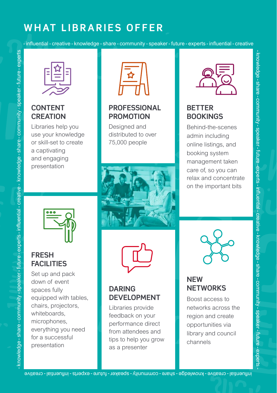## **WHAT LIBRARIES OFFER**



#### **CONTENT CREATION**

**FRESH FACILITIES**  Set up and pack down of event spaces fully

equipped with tables, chairs, projectors, whiteboards, microphones, everything you need for a successful presentation

Libraries help you use your knowledge or skill-set to create a captivating and engaging presentation



#### **PROFESSIONAL PROMOTION**

Designed and distributed to over 75,000 people





#### **DARING DEVELOPMENT**

whiteboards,<br>
microphones,<br>
everything you need<br>
for a successful<br>
presentation<br>
presentation<br>
exage - stressful<br>
dips to help you grow<br>
as a presenter<br>
annels<br>
annels<br>
annels<br>
annels<br>
annels<br>
annels<br>
annels<br>
annels<br>
annel Libraries provide feedback on your performance direct from attendees and tips to help you grow as a presenter



#### **BETTER BOOKINGS**

Behind-the-scenes admin including online listings, and booking system management taken care of, so you can relax and concentrate on the important bits

munity - speaker - future

-experts - infuential - creative -

knowledge

- share - com

munity - speaker - future - experts



#### **NEW NETWORKS**

Boost access to networks across the region and create opportunities via library and council channels